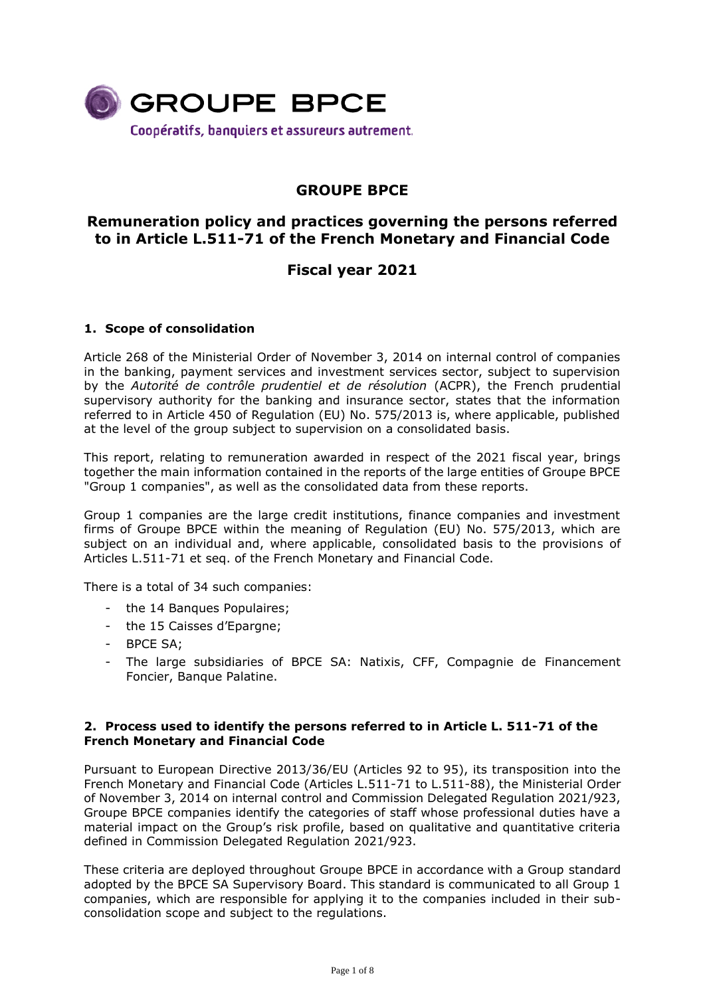

# **GROUPE BPCE**

## **Remuneration policy and practices governing the persons referred to in Article L.511-71 of the French Monetary and Financial Code**

## **Fiscal year 2021**

## **1. Scope of consolidation**

Article 268 of the Ministerial Order of November 3, 2014 on internal control of companies in the banking, payment services and investment services sector, subject to supervision by the *Autorité de contrôle prudentiel et de résolution* (ACPR), the French prudential supervisory authority for the banking and insurance sector, states that the information referred to in Article 450 of Regulation (EU) No. 575/2013 is, where applicable, published at the level of the group subject to supervision on a consolidated basis.

This report, relating to remuneration awarded in respect of the 2021 fiscal year, brings together the main information contained in the reports of the large entities of Groupe BPCE "Group 1 companies", as well as the consolidated data from these reports.

Group 1 companies are the large credit institutions, finance companies and investment firms of Groupe BPCE within the meaning of Regulation (EU) No. 575/2013, which are subject on an individual and, where applicable, consolidated basis to the provisions of Articles L.511-71 et seq. of the French Monetary and Financial Code.

There is a total of 34 such companies:

- the 14 Banques Populaires;
- the 15 Caisses d'Epargne;
- BPCE SA;
- The large subsidiaries of BPCE SA: Natixis, CFF, Compagnie de Financement Foncier, Banque Palatine.

#### **2. Process used to identify the persons referred to in Article L. 511-71 of the French Monetary and Financial Code**

Pursuant to European Directive 2013/36/EU (Articles 92 to 95), its transposition into the French Monetary and Financial Code (Articles L.511-71 to L.511-88), the Ministerial Order of November 3, 2014 on internal control and Commission Delegated Regulation 2021/923, Groupe BPCE companies identify the categories of staff whose professional duties have a material impact on the Group's risk profile, based on qualitative and quantitative criteria defined in Commission Delegated Regulation 2021/923.

These criteria are deployed throughout Groupe BPCE in accordance with a Group standard adopted by the BPCE SA Supervisory Board. This standard is communicated to all Group 1 companies, which are responsible for applying it to the companies included in their subconsolidation scope and subject to the regulations.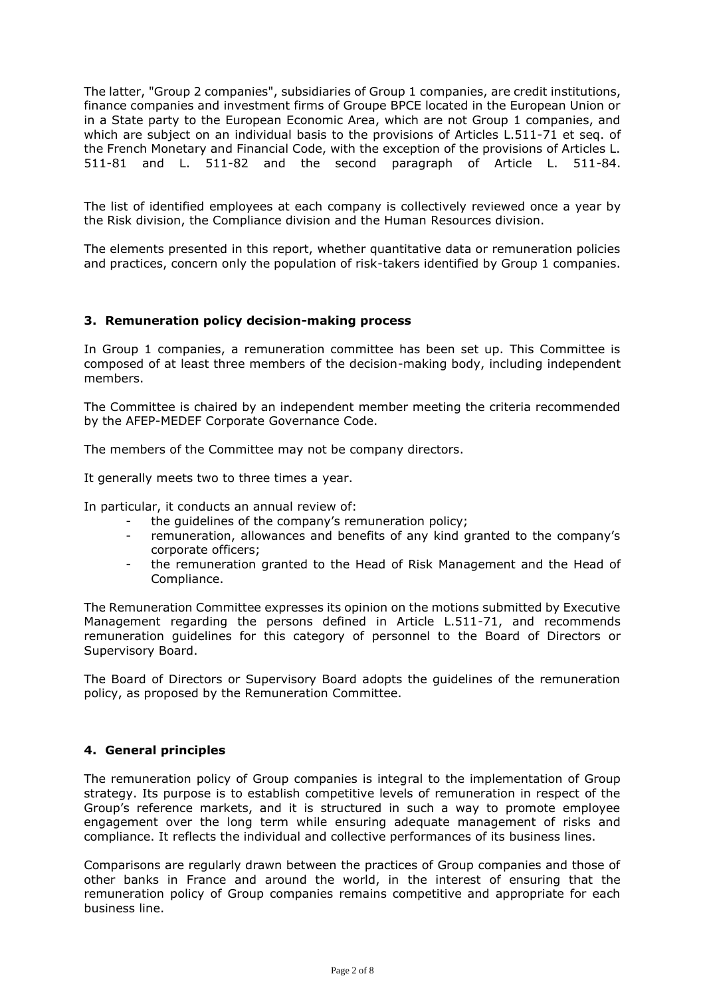The latter, "Group 2 companies", subsidiaries of Group 1 companies, are credit institutions, finance companies and investment firms of Groupe BPCE located in the European Union or in a State party to the European Economic Area, which are not Group 1 companies, and which are subject on an individual basis to the provisions of Articles L.511-71 et seq. of the French Monetary and Financial Code, with the exception of the provisions of Articles L. 511-81 and L. 511-82 and the second paragraph of Article L. 511-84.

The list of identified employees at each company is collectively reviewed once a year by the Risk division, the Compliance division and the Human Resources division.

The elements presented in this report, whether quantitative data or remuneration policies and practices, concern only the population of risk-takers identified by Group 1 companies.

### **3. Remuneration policy decision-making process**

In Group 1 companies, a remuneration committee has been set up. This Committee is composed of at least three members of the decision-making body, including independent members.

The Committee is chaired by an independent member meeting the criteria recommended by the AFEP-MEDEF Corporate Governance Code.

The members of the Committee may not be company directors.

It generally meets two to three times a year.

In particular, it conducts an annual review of:

- the quidelines of the company's remuneration policy;
- remuneration, allowances and benefits of any kind granted to the company's corporate officers;
- the remuneration granted to the Head of Risk Management and the Head of Compliance.

The Remuneration Committee expresses its opinion on the motions submitted by Executive Management regarding the persons defined in Article L.511-71, and recommends remuneration guidelines for this category of personnel to the Board of Directors or Supervisory Board.

The Board of Directors or Supervisory Board adopts the guidelines of the remuneration policy, as proposed by the Remuneration Committee.

### **4. General principles**

The remuneration policy of Group companies is integral to the implementation of Group strategy. Its purpose is to establish competitive levels of remuneration in respect of the Group's reference markets, and it is structured in such a way to promote employee engagement over the long term while ensuring adequate management of risks and compliance. It reflects the individual and collective performances of its business lines.

Comparisons are regularly drawn between the practices of Group companies and those of other banks in France and around the world, in the interest of ensuring that the remuneration policy of Group companies remains competitive and appropriate for each business line.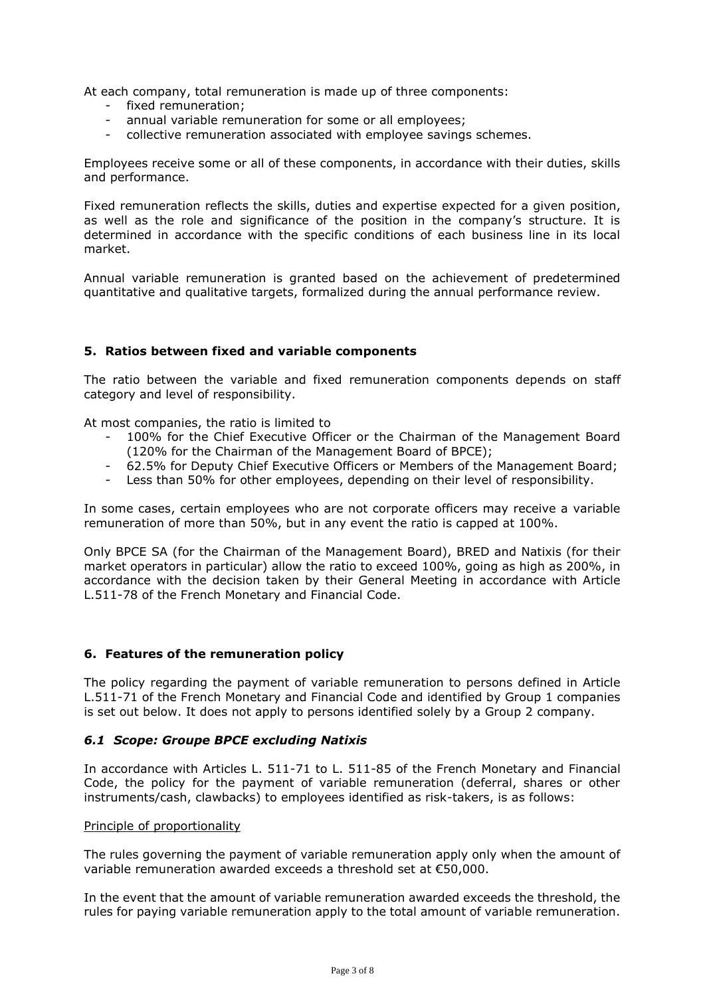At each company, total remuneration is made up of three components:

- fixed remuneration;
- annual variable remuneration for some or all employees;
- collective remuneration associated with employee savings schemes.

Employees receive some or all of these components, in accordance with their duties, skills and performance.

Fixed remuneration reflects the skills, duties and expertise expected for a given position, as well as the role and significance of the position in the company's structure. It is determined in accordance with the specific conditions of each business line in its local market.

Annual variable remuneration is granted based on the achievement of predetermined quantitative and qualitative targets, formalized during the annual performance review.

## **5. Ratios between fixed and variable components**

The ratio between the variable and fixed remuneration components depends on staff category and level of responsibility.

At most companies, the ratio is limited to

- 100% for the Chief Executive Officer or the Chairman of the Management Board (120% for the Chairman of the Management Board of BPCE);
- 62.5% for Deputy Chief Executive Officers or Members of the Management Board;
- Less than 50% for other employees, depending on their level of responsibility.

In some cases, certain employees who are not corporate officers may receive a variable remuneration of more than 50%, but in any event the ratio is capped at 100%.

Only BPCE SA (for the Chairman of the Management Board), BRED and Natixis (for their market operators in particular) allow the ratio to exceed 100%, going as high as 200%, in accordance with the decision taken by their General Meeting in accordance with Article L.511-78 of the French Monetary and Financial Code.

### **6. Features of the remuneration policy**

The policy regarding the payment of variable remuneration to persons defined in Article L.511-71 of the French Monetary and Financial Code and identified by Group 1 companies is set out below. It does not apply to persons identified solely by a Group 2 company.

### *6.1 Scope: Groupe BPCE excluding Natixis*

In accordance with Articles L. 511-71 to L. 511-85 of the French Monetary and Financial Code, the policy for the payment of variable remuneration (deferral, shares or other instruments/cash, clawbacks) to employees identified as risk-takers, is as follows:

#### Principle of proportionality

The rules governing the payment of variable remuneration apply only when the amount of variable remuneration awarded exceeds a threshold set at €50,000.

In the event that the amount of variable remuneration awarded exceeds the threshold, the rules for paying variable remuneration apply to the total amount of variable remuneration.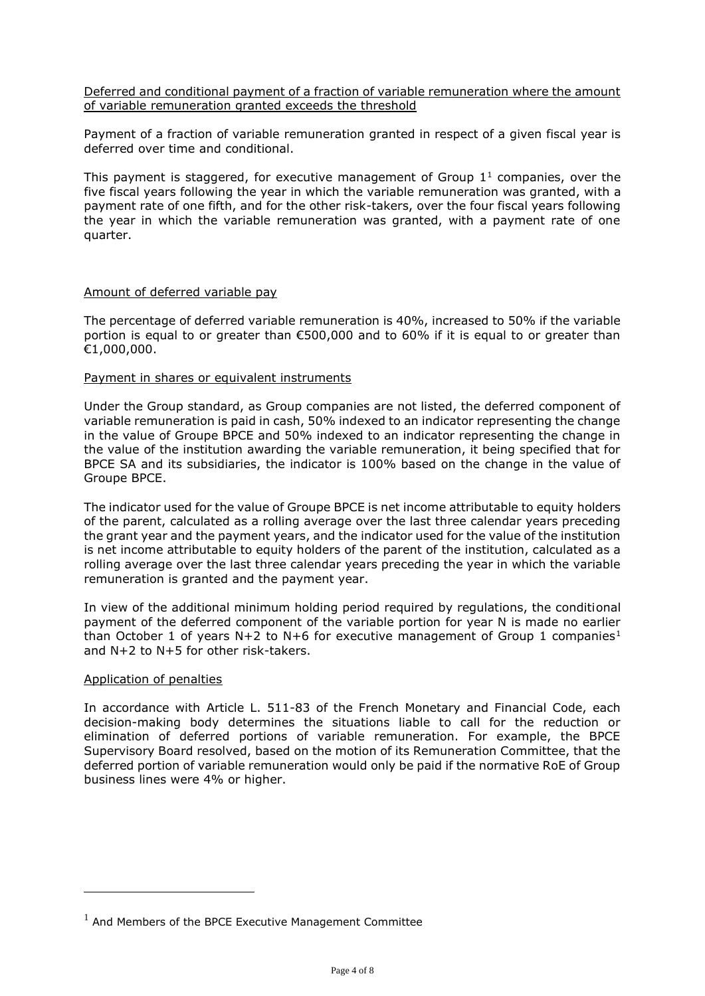Deferred and conditional payment of a fraction of variable remuneration where the amount of variable remuneration granted exceeds the threshold

Payment of a fraction of variable remuneration granted in respect of a given fiscal year is deferred over time and conditional.

This payment is staggered, for executive management of Group  $1<sup>1</sup>$  companies, over the five fiscal years following the year in which the variable remuneration was granted, with a payment rate of one fifth, and for the other risk-takers, over the four fiscal years following the year in which the variable remuneration was granted, with a payment rate of one quarter.

#### Amount of deferred variable pay

The percentage of deferred variable remuneration is 40%, increased to 50% if the variable portion is equal to or greater than  $\epsilon$ 500,000 and to 60% if it is equal to or greater than €1,000,000.

#### Payment in shares or equivalent instruments

Under the Group standard, as Group companies are not listed, the deferred component of variable remuneration is paid in cash, 50% indexed to an indicator representing the change in the value of Groupe BPCE and 50% indexed to an indicator representing the change in the value of the institution awarding the variable remuneration, it being specified that for BPCE SA and its subsidiaries, the indicator is 100% based on the change in the value of Groupe BPCE.

The indicator used for the value of Groupe BPCE is net income attributable to equity holders of the parent, calculated as a rolling average over the last three calendar years preceding the grant year and the payment years, and the indicator used for the value of the institution is net income attributable to equity holders of the parent of the institution, calculated as a rolling average over the last three calendar years preceding the year in which the variable remuneration is granted and the payment year.

In view of the additional minimum holding period required by regulations, the conditional payment of the deferred component of the variable portion for year N is made no earlier than October 1 of years N+2 to N+6 for executive management of Group 1 companies<sup>1</sup> and N+2 to N+5 for other risk-takers.

#### Application of penalties

In accordance with Article L. 511-83 of the French Monetary and Financial Code, each decision-making body determines the situations liable to call for the reduction or elimination of deferred portions of variable remuneration. For example, the BPCE Supervisory Board resolved, based on the motion of its Remuneration Committee, that the deferred portion of variable remuneration would only be paid if the normative RoE of Group business lines were 4% or higher.

 $1$  And Members of the BPCE Executive Management Committee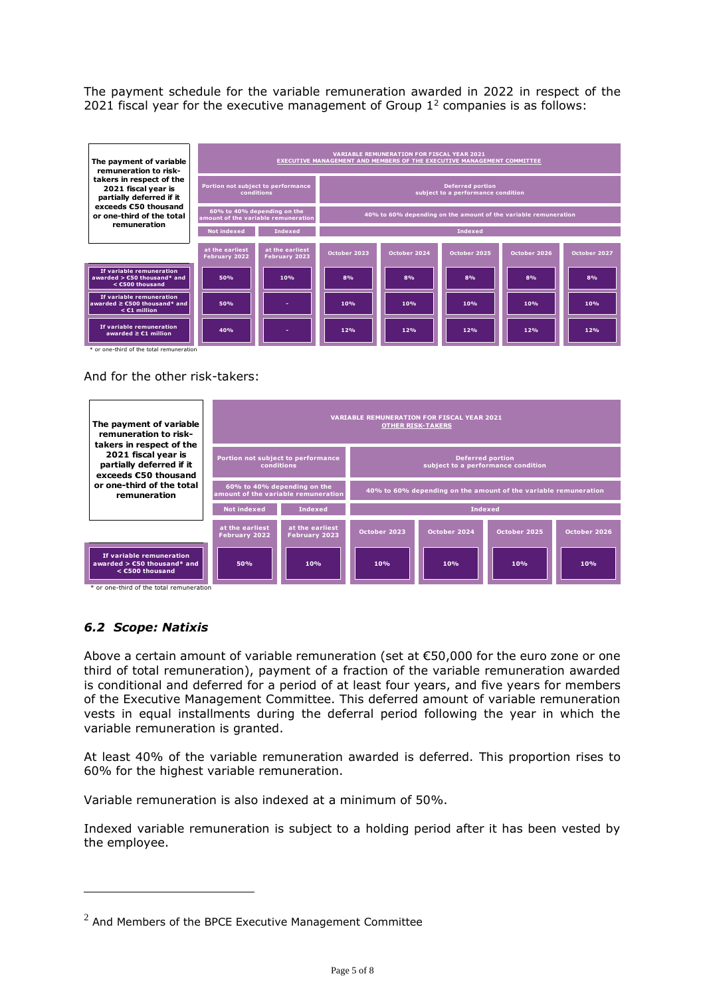The payment schedule for the variable remuneration awarded in 2022 in respect of the 2021 fiscal year for the executive management of Group  $1<sup>2</sup>$  companies is as follows:



And for the other risk-takers:



## *6.2 Scope: Natixis*

Above a certain amount of variable remuneration (set at  $\epsilon$ 50,000 for the euro zone or one third of total remuneration), payment of a fraction of the variable remuneration awarded is conditional and deferred for a period of at least four years, and five years for members of the Executive Management Committee. This deferred amount of variable remuneration vests in equal installments during the deferral period following the year in which the variable remuneration is granted.

At least 40% of the variable remuneration awarded is deferred. This proportion rises to 60% for the highest variable remuneration.

Variable remuneration is also indexed at a minimum of 50%.

Indexed variable remuneration is subject to a holding period after it has been vested by the employee.

 $2$  And Members of the BPCE Executive Management Committee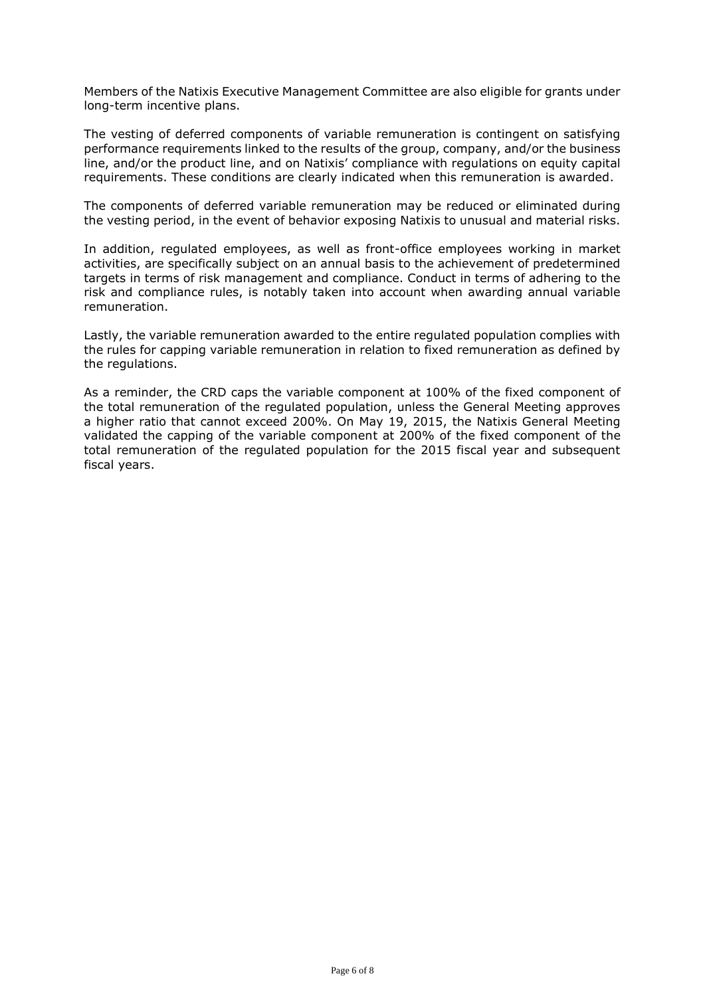Members of the Natixis Executive Management Committee are also eligible for grants under long-term incentive plans.

The vesting of deferred components of variable remuneration is contingent on satisfying performance requirements linked to the results of the group, company, and/or the business line, and/or the product line, and on Natixis' compliance with regulations on equity capital requirements. These conditions are clearly indicated when this remuneration is awarded.

The components of deferred variable remuneration may be reduced or eliminated during the vesting period, in the event of behavior exposing Natixis to unusual and material risks.

In addition, regulated employees, as well as front-office employees working in market activities, are specifically subject on an annual basis to the achievement of predetermined targets in terms of risk management and compliance. Conduct in terms of adhering to the risk and compliance rules, is notably taken into account when awarding annual variable remuneration.

Lastly, the variable remuneration awarded to the entire regulated population complies with the rules for capping variable remuneration in relation to fixed remuneration as defined by the regulations.

As a reminder, the CRD caps the variable component at 100% of the fixed component of the total remuneration of the regulated population, unless the General Meeting approves a higher ratio that cannot exceed 200%. On May 19, 2015, the Natixis General Meeting validated the capping of the variable component at 200% of the fixed component of the total remuneration of the regulated population for the 2015 fiscal year and subsequent fiscal years.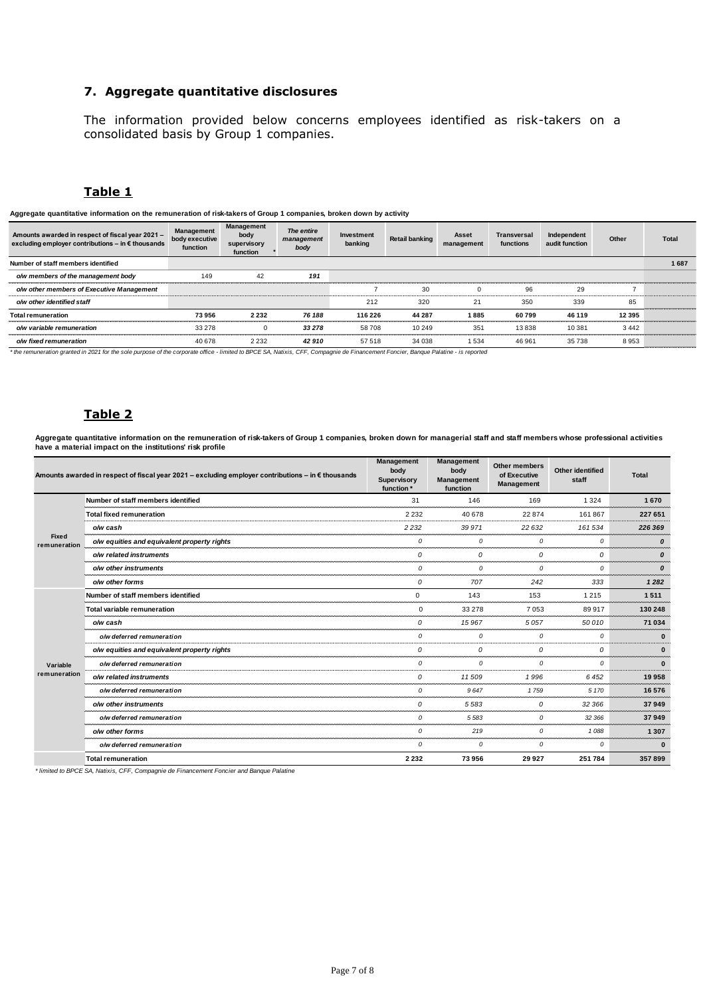## **7. Aggregate quantitative disclosures**

The information provided below concerns employees identified as risk-takers on a consolidated basis by Group 1 companies.

## **Table 1**

| Aggregate quantitative information on the remuneration of risk-takers of Group 1 companies, broken down by activity |                                          |                                               |                                  |                       |                       |                     |                          |                               |          |              |
|---------------------------------------------------------------------------------------------------------------------|------------------------------------------|-----------------------------------------------|----------------------------------|-----------------------|-----------------------|---------------------|--------------------------|-------------------------------|----------|--------------|
| Amounts awarded in respect of fiscal year 2021 -<br>excluding employer contributions - in € thousands               | Management<br>body executive<br>function | Management<br>body<br>supervisory<br>function | The entire<br>management<br>body | Investment<br>banking | <b>Retail banking</b> | Asset<br>management | Transversal<br>functions | Independent<br>audit function | Other    | <b>Total</b> |
| Number of staff members identified                                                                                  |                                          |                                               |                                  |                       |                       |                     |                          |                               |          | 1687         |
| o/w members of the management body                                                                                  | 149                                      | 42                                            | 191                              |                       |                       |                     |                          |                               |          |              |
| o/w other members of Executive Management                                                                           |                                          |                                               |                                  |                       | 30                    |                     | 96                       | 29                            |          |              |
| o/w other identified staff                                                                                          |                                          |                                               |                                  | 212                   | 320                   | 21                  | 350                      | 339                           | 85       |              |
| <b>Total remuneration</b>                                                                                           | 73956                                    | 2 2 3 2                                       | 76 188                           | 116 226               | 44 287                | 1885                | 60799                    | 46 119                        | 12 3 9 5 |              |
| o/w variable remuneration                                                                                           | 33 278                                   |                                               | 33 278                           | 58708                 | 10 249                | 351                 | 13838                    | 10 381                        | 3442     |              |
| o/w fixed remuneration                                                                                              | 40 678                                   | 2 2 3 2                                       | 42910                            | 57 518                | 34 038                | 1534                | 46 961                   | 35738                         | 8953     |              |

*\* the remuneration granted in 2021 for the sole purpose of the corporate office - limited to BPCE SA, Natixis, CFF, Compagnie de Financement Foncier, Banque Palatine - is reported*

## **Table 2**

**Aggregate quantitative information on the remuneration of risk-takers of Group 1 companies, broken down for managerial staff and staff members whose professional activities have a material impact on the institutions' risk profile**

|                          | Amounts awarded in respect of fiscal year 2021 – excluding employer contributions – in $\epsilon$ thousands | Management<br>body<br>Supervisory<br>function * | Management<br>body<br>Management<br>function | <b>Other members</b><br>of Executive<br><b>Management</b> | <b>Other identified</b><br>staff | <b>Total</b> |
|--------------------------|-------------------------------------------------------------------------------------------------------------|-------------------------------------------------|----------------------------------------------|-----------------------------------------------------------|----------------------------------|--------------|
| Fixed<br>remuneration    | Number of staff members identified                                                                          | 31                                              | 146                                          | 169                                                       | 1 3 2 4                          | 1670         |
|                          | <b>Total fixed remuneration</b>                                                                             | 2 2 3 2                                         | 40 678                                       | 22874                                                     | 161867                           | 227 651      |
|                          | o/w cash                                                                                                    | 2 2 3 2                                         | 39 971                                       | 22 632                                                    | 161 534                          | 226 369      |
|                          | o/w equities and equivalent property rights                                                                 | 0                                               | 0                                            | 0                                                         | 0                                | 0            |
|                          | o/w related instruments                                                                                     | $\Omega$                                        | 0                                            | 0                                                         | $\Omega$                         | 0            |
|                          | o/w other instruments                                                                                       | $\mathcal{O}$                                   | 0                                            | $\Omega$                                                  | 0                                | 0            |
|                          | o/w other forms                                                                                             | 0                                               | 707                                          | 242                                                       | 333                              | 1282         |
| Variable<br>remuneration | Number of staff members identified                                                                          | 0                                               | 143                                          | 153                                                       | 1 2 1 5                          | 1511         |
|                          | <b>Total variable remuneration</b>                                                                          | $\mathbf 0$                                     | 33 278                                       | 7053                                                      | 89917                            | 130 248      |
|                          | o/w cash                                                                                                    | 0                                               | 15 967                                       | 5057                                                      | 50 010                           | 71 034       |
|                          | o/w deferred remuneration                                                                                   | 0                                               | 0                                            | 0                                                         | 0                                | $\bf{0}$     |
|                          | o/w equities and equivalent property rights                                                                 | $\Omega$                                        | $\Omega$                                     | $\Omega$                                                  | $\Omega$                         | $\bf{0}$     |
|                          | o/w deferred remuneration                                                                                   | 0                                               | $\Omega$                                     | $\Omega$                                                  | $\Omega$                         | $\mathbf{0}$ |
|                          | o/w related instruments                                                                                     | 0                                               | 11509                                        | 1996                                                      | 6 4 5 2                          | 19958        |
|                          | o/w deferred remuneration                                                                                   | 0                                               | 9647                                         | 1759                                                      | 5 1 7 0                          | 16 576       |
|                          | o/w other instruments                                                                                       | 0                                               | 5583                                         | 0                                                         | 32 366                           | 37949        |
|                          | o/w deferred remuneration                                                                                   | $\mathcal{O}$                                   | 5583                                         | 0                                                         | 32 366                           | 37949        |
|                          | o/w other forms                                                                                             | $\mathcal{O}$                                   | 219                                          | 0                                                         | 1088                             | 1 3 0 7      |
|                          | o/w deferred remuneration                                                                                   | 0                                               | 0                                            | 0                                                         | 0                                | $\bf{0}$     |
|                          | <b>Total remuneration</b>                                                                                   | 2 2 3 2                                         | 73956                                        | 29 9 27                                                   | 251 784                          | 357899       |

*\* limited to BPCE SA, Natixis, CFF, Compagnie de Financement Foncier and Banque Palatine*